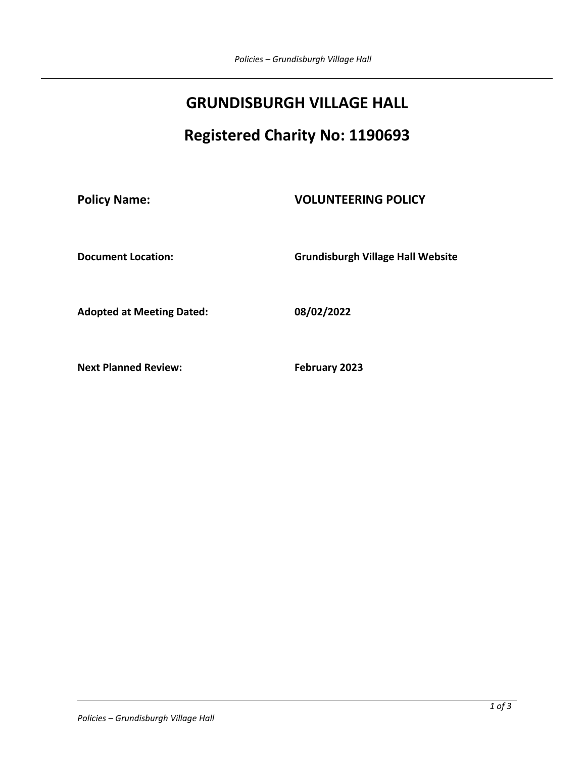# **GRUNDISBURGH VILLAGE HALL**

# **Registered Charity No: 1190693**

## **Policy Name: VOLUNTEERING POLICY**

**Document Location: Grundisburgh Village Hall Website** 

**Adopted at Meeting Dated: 08/02/2022**

**Next Planned Review:** February 2023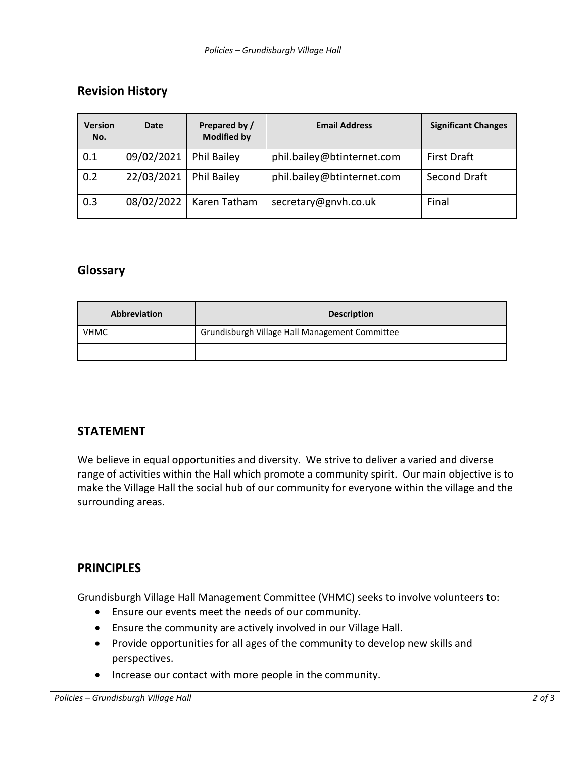#### **Revision History**

| <b>Version</b><br>No. | <b>Date</b> | Prepared by /<br><b>Modified by</b> | <b>Email Address</b>       | <b>Significant Changes</b> |
|-----------------------|-------------|-------------------------------------|----------------------------|----------------------------|
| 0.1                   | 09/02/2021  | <b>Phil Bailey</b>                  | phil.bailey@btinternet.com | <b>First Draft</b>         |
| 0.2                   | 22/03/2021  | <b>Phil Bailey</b>                  | phil.bailey@btinternet.com | Second Draft               |
| 0.3                   | 08/02/2022  | Karen Tatham                        | secretary@gnvh.co.uk       | Final                      |

#### **Glossary**

| <b>Abbreviation</b> | <b>Description</b>                             |  |
|---------------------|------------------------------------------------|--|
| <b>VHMC</b>         | Grundisburgh Village Hall Management Committee |  |
|                     |                                                |  |

#### **STATEMENT**

We believe in equal opportunities and diversity. We strive to deliver a varied and diverse range of activities within the Hall which promote a community spirit. Our main objective is to make the Village Hall the social hub of our community for everyone within the village and the surrounding areas.

## **PRINCIPLES**

Grundisburgh Village Hall Management Committee (VHMC) seeks to involve volunteers to:

- Ensure our events meet the needs of our community.
- Ensure the community are actively involved in our Village Hall.
- Provide opportunities for all ages of the community to develop new skills and perspectives.
- Increase our contact with more people in the community.